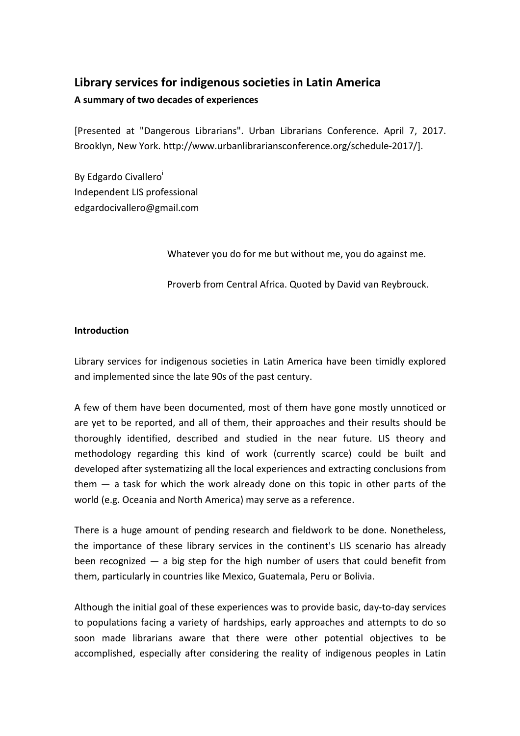# **Library services for indigenous societies in Latin America**

# **A summary of two decades of experiences**

[Presented at "Dangerous Librarians". Urban Librarians Conference. April 7, 2017. Brooklyn, New York. http://www.urbanlibrariansconference.org/schedule-2017/].

By Edgardo Civallero<sup>i</sup> Independent LIS professional edgardocivallero@gmail.com

Whatever you do for me but without me, you do against me.

Proverb from Central Africa. Quoted by David van Reybrouck.

# **Introduction**

Library services for indigenous societies in Latin America have been timidly explored and implemented since the late 90s of the past century.

A few of them have been documented, most of them have gone mostly unnoticed or are yet to be reported, and all of them, their approaches and their results should be thoroughly identified, described and studied in the near future. LIS theory and methodology regarding this kind of work (currently scarce) could be built and developed after systematizing all the local experiences and extracting conclusions from them ― a task for which the work already done on this topic in other parts of the world (e.g. Oceania and North America) may serve as a reference.

There is a huge amount of pending research and fieldwork to be done. Nonetheless, the importance of these library services in the continent's LIS scenario has already been recognized  $-$  a big step for the high number of users that could benefit from them, particularly in countries like Mexico, Guatemala, Peru or Bolivia.

Although the initial goal of these experiences was to provide basic, day-to-day services to populations facing a variety of hardships, early approaches and attempts to do so soon made librarians aware that there were other potential objectives to be accomplished, especially after considering the reality of indigenous peoples in Latin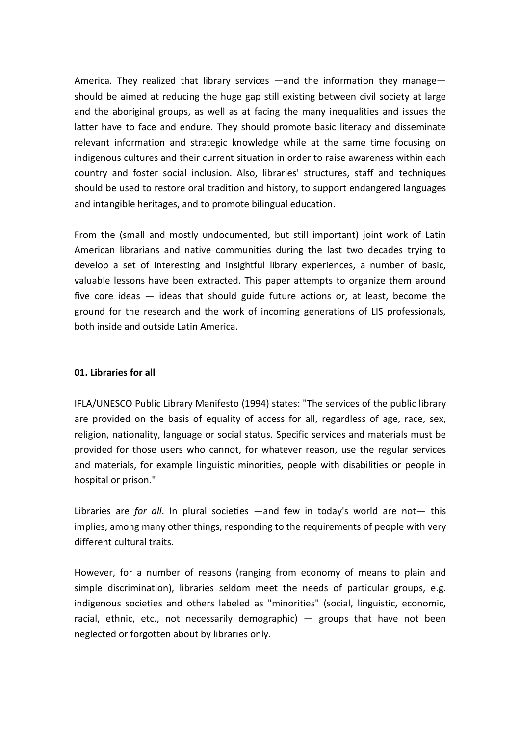America. They realized that library services —and the information they manage should be aimed at reducing the huge gap still existing between civil society at large and the aboriginal groups, as well as at facing the many inequalities and issues the latter have to face and endure. They should promote basic literacy and disseminate relevant information and strategic knowledge while at the same time focusing on indigenous cultures and their current situation in order to raise awareness within each country and foster social inclusion. Also, libraries' structures, staff and techniques should be used to restore oral tradition and history, to support endangered languages and intangible heritages, and to promote bilingual education.

From the (small and mostly undocumented, but still important) joint work of Latin American librarians and native communities during the last two decades trying to develop a set of interesting and insightful library experiences, a number of basic, valuable lessons have been extracted. This paper attempts to organize them around five core ideas — ideas that should guide future actions or, at least, become the ground for the research and the work of incoming generations of LIS professionals, both inside and outside Latin America.

# **01. Libraries for all**

IFLA/UNESCO Public Library Manifesto (1994) states: "The services of the public library are provided on the basis of equality of access for all, regardless of age, race, sex, religion, nationality, language or social status. Specific services and materials must be provided for those users who cannot, for whatever reason, use the regular services and materials, for example linguistic minorities, people with disabilities or people in hospital or prison."

Libraries are *for all*. In plural societies —and few in today's world are not— this implies, among many other things, responding to the requirements of people with very different cultural traits.

However, for a number of reasons (ranging from economy of means to plain and simple discrimination), libraries seldom meet the needs of particular groups, e.g. indigenous societies and others labeled as "minorities" (social, linguistic, economic, racial, ethnic, etc., not necessarily demographic) — groups that have not been neglected or forgotten about by libraries only.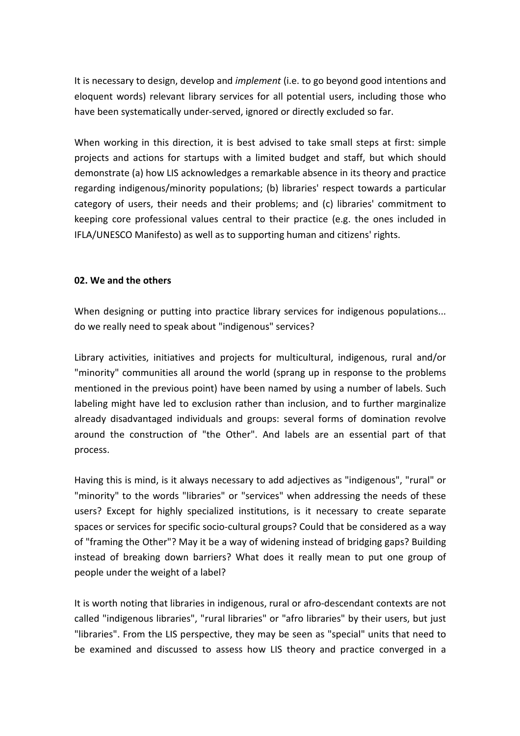It is necessary to design, develop and *implement* (i.e. to go beyond good intentions and eloquent words) relevant library services for all potential users, including those who have been systematically under-served, ignored or directly excluded so far.

When working in this direction, it is best advised to take small steps at first: simple projects and actions for startups with a limited budget and staff, but which should demonstrate (a) how LIS acknowledges a remarkable absence in its theory and practice regarding indigenous/minority populations; (b) libraries' respect towards a particular category of users, their needs and their problems; and (c) libraries' commitment to keeping core professional values central to their practice (e.g. the ones included in IFLA/UNESCO Manifesto) as well as to supporting human and citizens' rights.

#### **02. We and the others**

When designing or putting into practice library services for indigenous populations... do we really need to speak about "indigenous" services?

Library activities, initiatives and projects for multicultural, indigenous, rural and/or "minority" communities all around the world (sprang up in response to the problems mentioned in the previous point) have been named by using a number of labels. Such labeling might have led to exclusion rather than inclusion, and to further marginalize already disadvantaged individuals and groups: several forms of domination revolve around the construction of "the Other". And labels are an essential part of that process.

Having this is mind, is it always necessary to add adjectives as "indigenous", "rural" or "minority" to the words "libraries" or "services" when addressing the needs of these users? Except for highly specialized institutions, is it necessary to create separate spaces or services for specific socio-cultural groups? Could that be considered as a way of "framing the Other"? May it be a way of widening instead of bridging gaps? Building instead of breaking down barriers? What does it really mean to put one group of people under the weight of a label?

It is worth noting that libraries in indigenous, rural or afro-descendant contexts are not called "indigenous libraries", "rural libraries" or "afro libraries" by their users, but just "libraries". From the LIS perspective, they may be seen as "special" units that need to be examined and discussed to assess how LIS theory and practice converged in a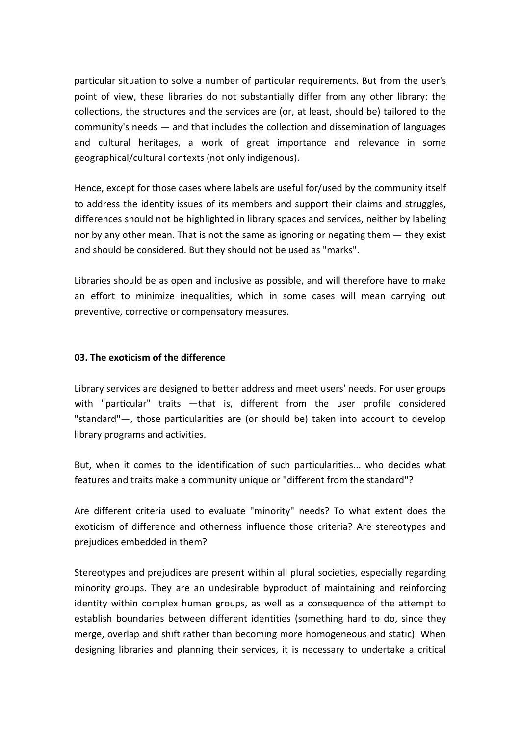particular situation to solve a number of particular requirements. But from the user's point of view, these libraries do not substantially differ from any other library: the collections, the structures and the services are (or, at least, should be) tailored to the community's needs ― and that includes the collection and dissemination of languages and cultural heritages, a work of great importance and relevance in some geographical/cultural contexts (not only indigenous).

Hence, except for those cases where labels are useful for/used by the community itself to address the identity issues of its members and support their claims and struggles, differences should not be highlighted in library spaces and services, neither by labeling nor by any other mean. That is not the same as ignoring or negating them ― they exist and should be considered. But they should not be used as "marks".

Libraries should be as open and inclusive as possible, and will therefore have to make an effort to minimize inequalities, which in some cases will mean carrying out preventive, corrective or compensatory measures.

#### **03. The exoticism of the difference**

Library services are designed to better address and meet users' needs. For user groups with "particular" traits - that is, different from the user profile considered "standard"―, those particularities are (or should be) taken into account to develop library programs and activities.

But, when it comes to the identification of such particularities... who decides what features and traits make a community unique or "different from the standard"?

Are different criteria used to evaluate "minority" needs? To what extent does the exoticism of difference and otherness influence those criteria? Are stereotypes and prejudices embedded in them?

Stereotypes and prejudices are present within all plural societies, especially regarding minority groups. They are an undesirable byproduct of maintaining and reinforcing identity within complex human groups, as well as a consequence of the attempt to establish boundaries between different identities (something hard to do, since they merge, overlap and shift rather than becoming more homogeneous and static). When designing libraries and planning their services, it is necessary to undertake a critical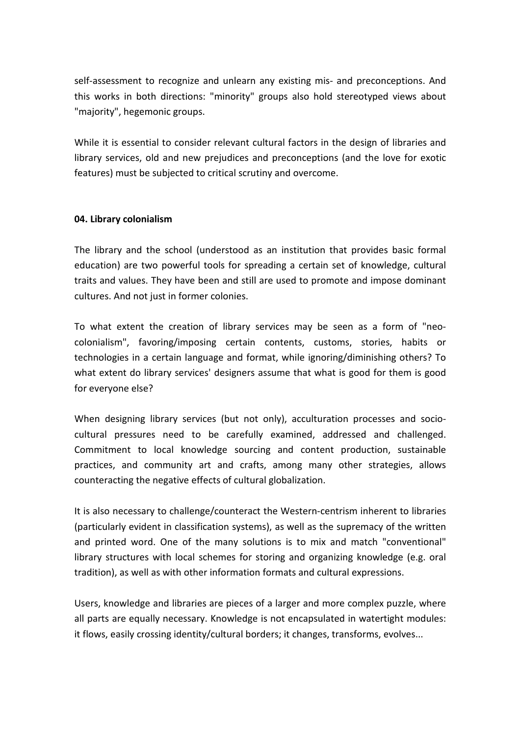self-assessment to recognize and unlearn any existing mis- and preconceptions. And this works in both directions: "minority" groups also hold stereotyped views about "majority", hegemonic groups.

While it is essential to consider relevant cultural factors in the design of libraries and library services, old and new prejudices and preconceptions (and the love for exotic features) must be subjected to critical scrutiny and overcome.

# **04. Library colonialism**

The library and the school (understood as an institution that provides basic formal education) are two powerful tools for spreading a certain set of knowledge, cultural traits and values. They have been and still are used to promote and impose dominant cultures. And not just in former colonies.

To what extent the creation of library services may be seen as a form of "neocolonialism", favoring/imposing certain contents, customs, stories, habits or technologies in a certain language and format, while ignoring/diminishing others? To what extent do library services' designers assume that what is good for them is good for everyone else?

When designing library services (but not only), acculturation processes and sociocultural pressures need to be carefully examined, addressed and challenged. Commitment to local knowledge sourcing and content production, sustainable practices, and community art and crafts, among many other strategies, allows counteracting the negative effects of cultural globalization.

It is also necessary to challenge/counteract the Western-centrism inherent to libraries (particularly evident in classification systems), as well as the supremacy of the written and printed word. One of the many solutions is to mix and match "conventional" library structures with local schemes for storing and organizing knowledge (e.g. oral tradition), as well as with other information formats and cultural expressions.

Users, knowledge and libraries are pieces of a larger and more complex puzzle, where all parts are equally necessary. Knowledge is not encapsulated in watertight modules: it flows, easily crossing identity/cultural borders; it changes, transforms, evolves...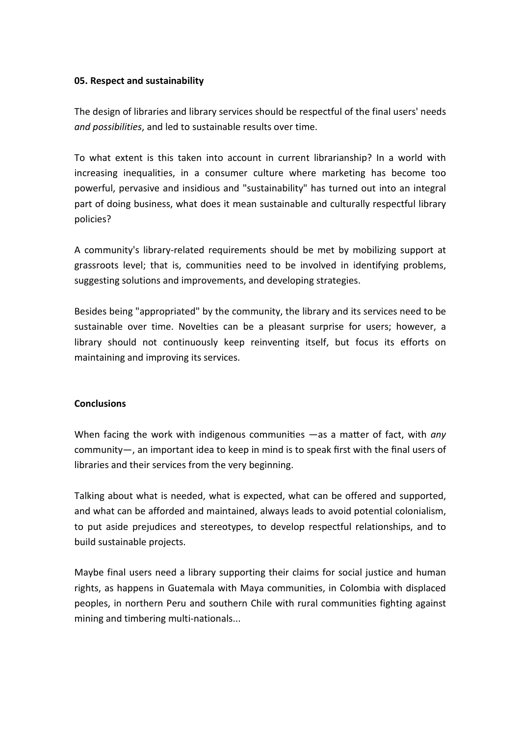#### **05. Respect and sustainability**

The design of libraries and library services should be respectful of the final users' needs *and possibilities*, and led to sustainable results over time.

To what extent is this taken into account in current librarianship? In a world with increasing inequalities, in a consumer culture where marketing has become too powerful, pervasive and insidious and "sustainability" has turned out into an integral part of doing business, what does it mean sustainable and culturally respectful library policies?

A community's library-related requirements should be met by mobilizing support at grassroots level; that is, communities need to be involved in identifying problems, suggesting solutions and improvements, and developing strategies.

Besides being "appropriated" by the community, the library and its services need to be sustainable over time. Novelties can be a pleasant surprise for users; however, a library should not continuously keep reinventing itself, but focus its efforts on maintaining and improving its services.

# **Conclusions**

When facing the work with indigenous communities —as a matter of fact, with *any* community―, an important idea to keep in mind is to speak first with the final users of libraries and their services from the very beginning.

Talking about what is needed, what is expected, what can be offered and supported, and what can be afforded and maintained, always leads to avoid potential colonialism, to put aside prejudices and stereotypes, to develop respectful relationships, and to build sustainable projects.

Maybe final users need a library supporting their claims for social justice and human rights, as happens in Guatemala with Maya communities, in Colombia with displaced peoples, in northern Peru and southern Chile with rural communities fighting against mining and timbering multi-nationals...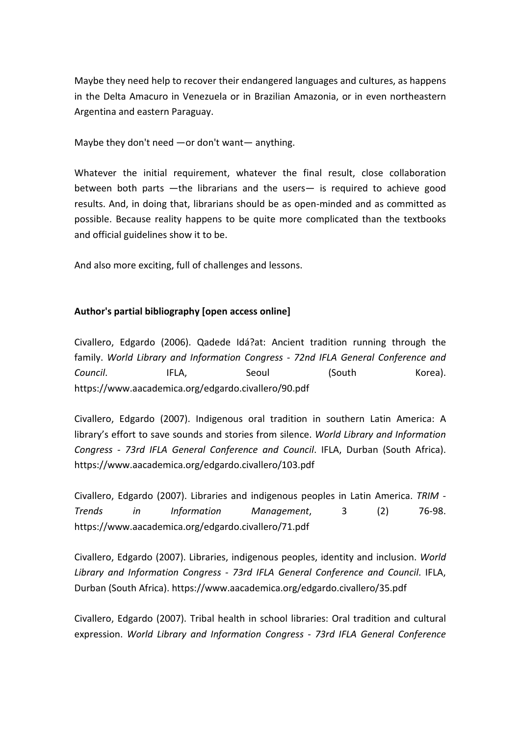Maybe they need help to recover their endangered languages and cultures, as happens in the Delta Amacuro in Venezuela or in Brazilian Amazonia, or in even northeastern Argentina and eastern Paraguay.

Maybe they don't need ―or don't want― anything.

Whatever the initial requirement, whatever the final result, close collaboration between both parts ―the librarians and the users― is required to achieve good results. And, in doing that, librarians should be as open-minded and as committed as possible. Because reality happens to be quite more complicated than the textbooks and official guidelines show it to be.

And also more exciting, full of challenges and lessons.

# **Author's partial bibliography [open access online]**

Civallero, Edgardo (2006). Qadede Idá?at: Ancient tradition running through the family. *World Library and Information Congress - 72nd IFLA General Conference and*  **Council.** IFLA, Seoul (South Korea). https://www.aacademica.org/edgardo.civallero/90.pdf

Civallero, Edgardo (2007). Indigenous oral tradition in southern Latin America: A library's effort to save sounds and stories from silence. *World Library and Information Congress - 73rd IFLA General Conference and Council*. IFLA, Durban (South Africa). https://www.aacademica.org/edgardo.civallero/103.pdf

Civallero, Edgardo (2007). Libraries and indigenous peoples in Latin America. *TRIM - Trends in Information Management*, 3 (2) 76-98. https://www.aacademica.org/edgardo.civallero/71.pdf

Civallero, Edgardo (2007). Libraries, indigenous peoples, identity and inclusion. *World Library and Information Congress - 73rd IFLA General Conference and Council*. IFLA, Durban (South Africa). https://www.aacademica.org/edgardo.civallero/35.pdf

Civallero, Edgardo (2007). Tribal health in school libraries: Oral tradition and cultural expression. *World Library and Information Congress - 73rd IFLA General Conference*